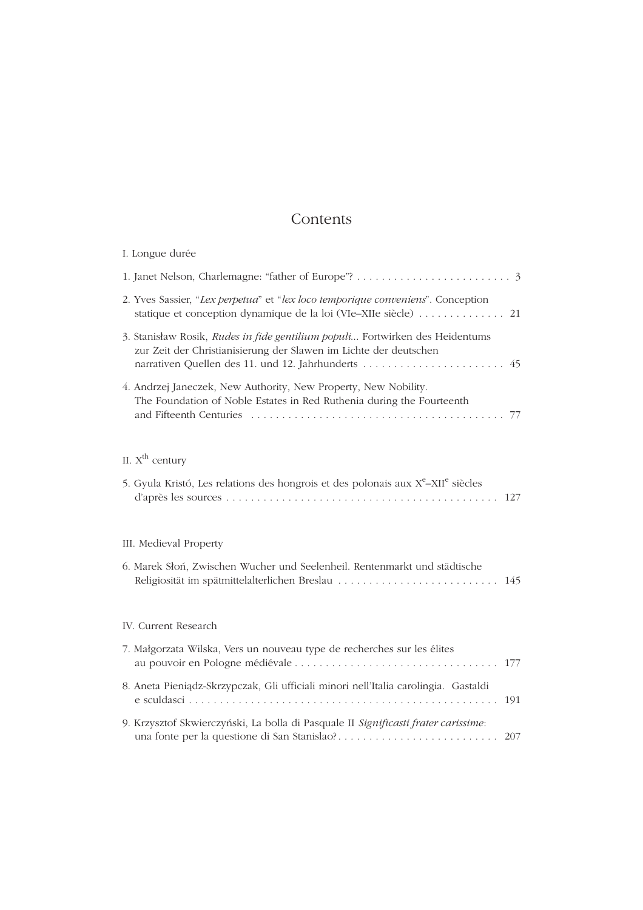## Contents

| I. Longue durée                                                                                                                                                                                      |    |
|------------------------------------------------------------------------------------------------------------------------------------------------------------------------------------------------------|----|
|                                                                                                                                                                                                      |    |
| 2. Yves Sassier, "Lex perpetua" et "lex loco temporique conveniens". Conception                                                                                                                      |    |
| 3. Stanisław Rosik, Rudes in fide gentilium populi Fortwirken des Heidentums<br>zur Zeit der Christianisierung der Slawen im Lichte der deutschen<br>narrativen Quellen des 11. und 12. Jahrhunderts | 45 |
| 4. Andrzej Janeczek, New Authority, New Property, New Nobility.<br>The Foundation of Noble Estates in Red Ruthenia during the Fourteenth                                                             |    |
| II. $Xth$ century                                                                                                                                                                                    |    |
| 5. Gyula Kristó, Les relations des hongrois et des polonais aux $X^e$ -XII <sup>e</sup> siècles                                                                                                      |    |
| III. Medieval Property                                                                                                                                                                               |    |
| 6. Marek Słoń, Zwischen Wucher und Seelenheil. Rentenmarkt und städtische<br>Religiosität im spätmittelalterlichen Breslau  145                                                                      |    |
| IV. Current Research                                                                                                                                                                                 |    |
| 7. Małgorzata Wilska, Vers un nouveau type de recherches sur les élites                                                                                                                              |    |
| 8. Aneta Pieniądz-Skrzypczak, Gli ufficiali minori nell'Italia carolingia. Gastaldi                                                                                                                  |    |
| 9. Krzysztof Skwierczyński, La bolla di Pasquale II Significasti frater carissime:<br>207                                                                                                            |    |